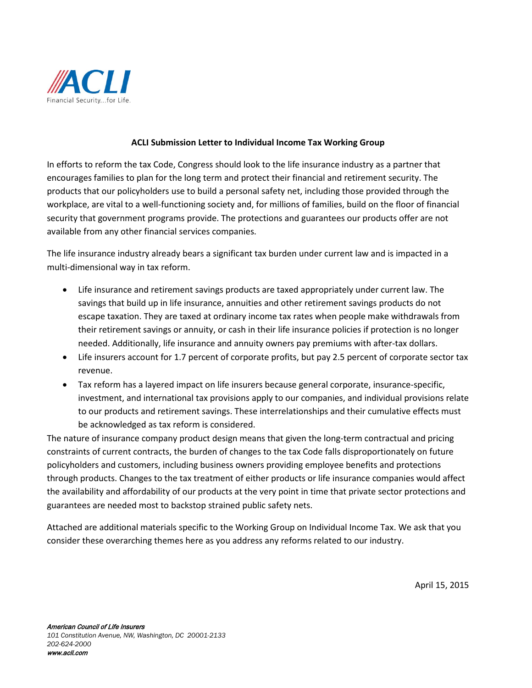

## **ACLI Submission Letter to Individual Income Tax Working Group**

In efforts to reform the tax Code, Congress should look to the life insurance industry as a partner that encourages families to plan for the long term and protect their financial and retirement security. The products that our policyholders use to build a personal safety net, including those provided through the workplace, are vital to a well-functioning society and, for millions of families, build on the floor of financial security that government programs provide. The protections and guarantees our products offer are not available from any other financial services companies.

The life insurance industry already bears a significant tax burden under current law and is impacted in a multi-dimensional way in tax reform.

- Life insurance and retirement savings products are taxed appropriately under current law. The savings that build up in life insurance, annuities and other retirement savings products do not escape taxation. They are taxed at ordinary income tax rates when people make withdrawals from their retirement savings or annuity, or cash in their life insurance policies if protection is no longer needed. Additionally, life insurance and annuity owners pay premiums with after-tax dollars.
- Life insurers account for 1.7 percent of corporate profits, but pay 2.5 percent of corporate sector tax revenue.
- Tax reform has a layered impact on life insurers because general corporate, insurance-specific, investment, and international tax provisions apply to our companies, and individual provisions relate to our products and retirement savings. These interrelationships and their cumulative effects must be acknowledged as tax reform is considered.

The nature of insurance company product design means that given the long-term contractual and pricing constraints of current contracts, the burden of changes to the tax Code falls disproportionately on future policyholders and customers, including business owners providing employee benefits and protections through products. Changes to the tax treatment of either products or life insurance companies would affect the availability and affordability of our products at the very point in time that private sector protections and guarantees are needed most to backstop strained public safety nets.

Attached are additional materials specific to the Working Group on Individual Income Tax. We ask that you consider these overarching themes here as you address any reforms related to our industry.

April 15, 2015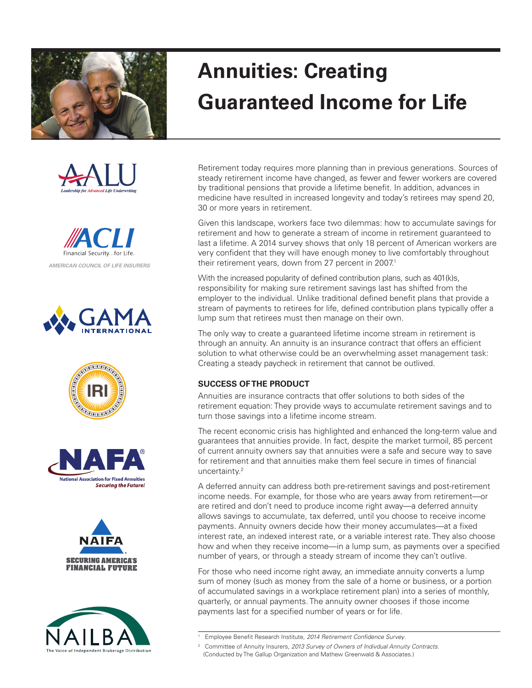















## **Annuities: Creating Guaranteed Income for Life**

Retirement today requires more planning than in previous generations. Sources of steady retirement income have changed, as fewer and fewer workers are covered by traditional pensions that provide a lifetime benefit. In addition, advances in medicine have resulted in increased longevity and today's retirees may spend 20, 30 or more years in retirement.

Given this landscape, workers face two dilemmas: how to accumulate savings for retirement and how to generate a stream of income in retirement guaranteed to last a lifetime. A 2014 survey shows that only 18 percent of American workers are very confident that they will have enough money to live comfortably throughout their retirement years, down from 27 percent in 2007.<sup>1</sup>

With the increased popularity of defined contribution plans, such as 401(k)s, responsibility for making sure retirement savings last has shifted from the employer to the individual. Unlike traditional defined benefit plans that provide a stream of payments to retirees for life, defined contribution plans typically offer a lump sum that retirees must then manage on their own.

The only way to create a guaranteed lifetime income stream in retirement is through an annuity. An annuity is an insurance contract that offers an efficient solution to what otherwise could be an overwhelming asset management task: Creating a steady paycheck in retirement that cannot be outlived.

## **SUCCESS OF THE PRODUCT**

Annuities are insurance contracts that offer solutions to both sides of the retirement equation: They provide ways to accumulate retirement savings and to turn those savings into a lifetime income stream.

The recent economic crisis has highlighted and enhanced the long-term value and guarantees that annuities provide. In fact, despite the market turmoil, 85 percent of current annuity owners say that annuities were a safe and secure way to save for retirement and that annuities make them feel secure in times of financial uncertainty.2

A deferred annuity can address both pre-retirement savings and post-retirement income needs. For example, for those who are years away from retirement—or are retired and don't need to produce income right away—a deferred annuity allows savings to accumulate, tax deferred, until you choose to receive income payments. Annuity owners decide how their money accumulates—at a fixed interest rate, an indexed interest rate, or a variable interest rate. They also choose how and when they receive income—in a lump sum, as payments over a specified number of years, or through a steady stream of income they can't outlive.

For those who need income right away, an immediate annuity converts a lump sum of money (such as money from the sale of a home or business, or a portion of accumulated savings in a workplace retirement plan) into a series of monthly, quarterly, or annual payments. The annuity owner chooses if those income payments last for a specified number of years or for life.

<sup>1</sup> Employee Benefit Research Institute, *2014 Retirement Confidence Survey*.

<sup>2</sup> Committee of Annuity Insurers, *2013 Survey of Owners of Indivdual Annuity Contracts*.

<sup>(</sup>Conducted by The Gallup Organization and Mathew Greenwald & Associates.)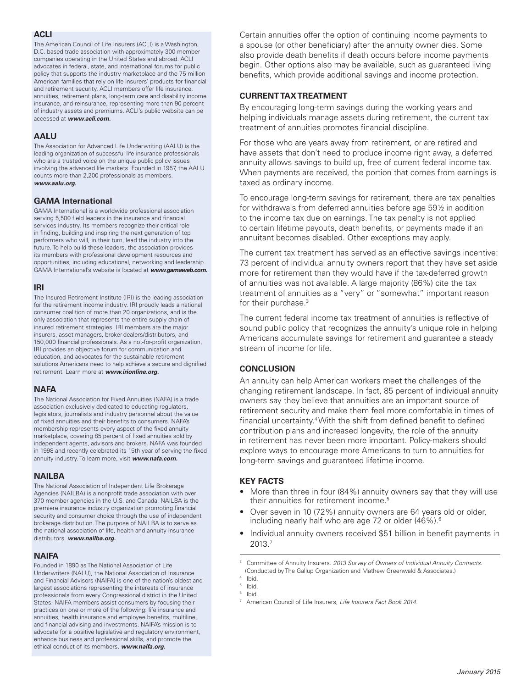## **ACLI**

The American Council of Life Insurers (ACLI) is a Washington, D.C.-based trade association with approximately 300 member companies operating in the United States and abroad. ACLI advocates in federal, state, and international forums for public policy that supports the industry marketplace and the 75 million American families that rely on life insurers' products for financial and retirement security. ACLI members offer life insurance, annuities, retirement plans, long-term care and disability income insurance, and reinsurance, representing more than 90 percent of industry assets and premiums. ACLI's public website can be accessed at *www.acli.com.*

## **AALU**

The Association for Advanced Life Underwriting (AALU) is the leading organization of successful life insurance professionals who are a trusted voice on the unique public policy issues involving the advanced life markets. Founded in 1957, the AALU counts more than 2,200 professionals as members. *www.aalu.org.*

## **GAMA International**

GAMA International is a worldwide professional association serving 5,500 field leaders in the insurance and financial services industry. Its members recognize their critical role in finding, building and inspiring the next generation of top performers who will, in their turn, lead the industry into the future. To help build these leaders, the association provides its members with professional development resources and opportunities, including educational, networking and leadership. GAMA International's website is located at *www.gamaweb.com.*

## **IRI**

The Insured Retirement Institute (IRI) is the leading association for the retirement income industry. IRI proudly leads a national consumer coalition of more than 20 organizations, and is the only association that represents the entire supply chain of insured retirement strategies. IRI members are the major insurers, asset managers, broker-dealers/distributors, and 150,000 financial professionals. As a not-for-profit organization, IRI provides an objective forum for communication and education, and advocates for the sustainable retirement solutions Americans need to help achieve a secure and dignified retirement. Learn more at *www.irionline.org.*

## **NAFA**

The National Association for Fixed Annuities (NAFA) is a trade association exclusively dedicated to educating regulators, legislators, journalists and industry personnel about the value of fixed annuities and their benefits to consumers. NAFA's membership represents every aspect of the fixed annuity marketplace, covering 85 percent of fixed annuities sold by independent agents, advisors and brokers. NAFA was founded in 1998 and recently celebrated its 15th year of serving the fixed annuity industry. To learn more, visit *www.nafa.com.*

#### **NAILBA**

The National Association of Independent Life Brokerage Agencies (NAILBA) is a nonprofit trade association with over 370 member agencies in the U.S. and Canada. NAILBA is the premiere insurance industry organization promoting financial security and consumer choice through the use of independent brokerage distribution. The purpose of NAILBA is to serve as the national association of life, health and annuity insurance distributors. *www.nailba.org.*

## **NAIFA**

Founded in 1890 as The National Association of Life Underwriters (NALU), the National Association of Insurance and Financial Advisors (NAIFA) is one of the nation's oldest and largest associations representing the interests of insurance professionals from every Congressional district in the United States. NAIFA members assist consumers by focusing their practices on one or more of the following: life insurance and annuities, health insurance and employee benefits, multiline, and financial advising and investments. NAIFA's mission is to advocate for a positive legislative and regulatory environment, enhance business and professional skills, and promote the ethical conduct of its members. *www.naifa.org.*

Certain annuities offer the option of continuing income payments to a spouse (or other beneficiary) after the annuity owner dies. Some also provide death benefits if death occurs before income payments begin. Other options also may be available, such as guaranteed living benefits, which provide additional savings and income protection.

## **CURRENT TAX TREATMENT**

By encouraging long-term savings during the working years and helping individuals manage assets during retirement, the current tax treatment of annuities promotes financial discipline.

For those who are years away from retirement, or are retired and have assets that don't need to produce income right away, a deferred annuity allows savings to build up, free of current federal income tax. When payments are received, the portion that comes from earnings is taxed as ordinary income.

To encourage long-term savings for retirement, there are tax penalties for withdrawals from deferred annuities before age 59½ in addition to the income tax due on earnings. The tax penalty is not applied to certain lifetime payouts, death benefits, or payments made if an annuitant becomes disabled. Other exceptions may apply.

The current tax treatment has served as an effective savings incentive: 73 percent of individual annuity owners report that they have set aside more for retirement than they would have if the tax-deferred growth of annuities was not available. A large majority (86%) cite the tax treatment of annuities as a "very" or "somewhat" important reason for their purchase.3

The current federal income tax treatment of annuities is reflective of sound public policy that recognizes the annuity's unique role in helping Americans accumulate savings for retirement and guarantee a steady stream of income for life.

## **CONCLUSION**

An annuity can help American workers meet the challenges of the changing retirement landscape. In fact, 85 percent of individual annuity owners say they believe that annuities are an important source of retirement security and make them feel more comfortable in times of financial uncertainty.4 With the shift from defined benefit to defined contribution plans and increased longevity, the role of the annuity in retirement has never been more important. Policy-makers should explore ways to encourage more Americans to turn to annuities for long-term savings and guaranteed lifetime income.

## **key facts**

- More than three in four (84%) annuity owners say that they will use their annuities for retirement income.<sup>5</sup>
- Over seven in 10 (72%) annuity owners are 64 years old or older, including nearly half who are age 72 or older (46%).6
- Individual annuity owners received \$51 billion in benefit payments in 2013.7

6 Ibid.

<sup>3</sup> Committee of Annuity Insurers. *2013 Survey of Owners of Individual Annuity Contracts*. (Conducted by The Gallup Organization and Mathew Greenwald & Associates.)

<sup>4</sup> Ibid.

<sup>5</sup> Ibid.

<sup>7</sup> American Council of Life Insurers, *Life Insurers Fact Book 2014.*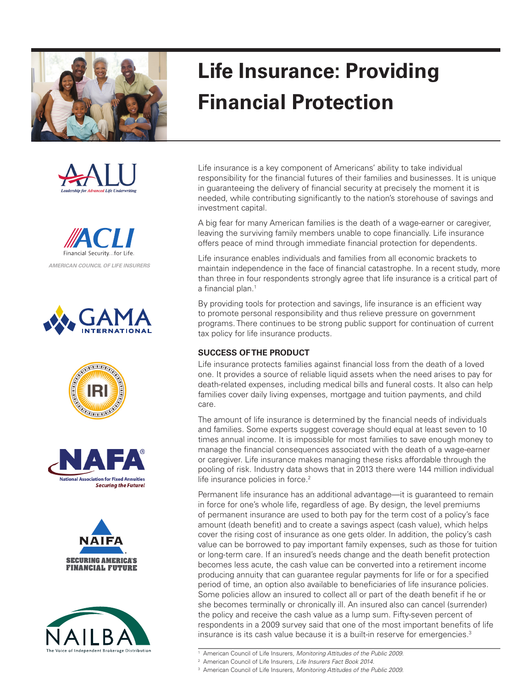















# **Life Insurance: Providing Financial Protection**

Life insurance is a key component of Americans' ability to take individual responsibility for the financial futures of their families and businesses. It is unique in guaranteeing the delivery of financial security at precisely the moment it is needed, while contributing significantly to the nation's storehouse of savings and investment capital.

A big fear for many American families is the death of a wage-earner or caregiver, leaving the surviving family members unable to cope financially. Life insurance offers peace of mind through immediate financial protection for dependents.

Life insurance enables individuals and families from all economic brackets to maintain independence in the face of financial catastrophe. In a recent study, more than three in four respondents strongly agree that life insurance is a critical part of a financial plan.<sup>1</sup>

By providing tools for protection and savings, life insurance is an efficient way to promote personal responsibility and thus relieve pressure on government programs. There continues to be strong public support for continuation of current tax policy for life insurance products.

## **SUCCESS OF THE PRODUCT**

Life insurance protects families against financial loss from the death of a loved one. It provides a source of reliable liquid assets when the need arises to pay for death-related expenses, including medical bills and funeral costs. It also can help families cover daily living expenses, mortgage and tuition payments, and child care.

The amount of life insurance is determined by the financial needs of individuals and families. Some experts suggest coverage should equal at least seven to 10 times annual income. It is impossible for most families to save enough money to manage the financial consequences associated with the death of a wage-earner or caregiver. Life insurance makes managing these risks affordable through the pooling of risk. Industry data shows that in 2013 there were 144 million individual life insurance policies in force.<sup>2</sup>

Permanent life insurance has an additional advantage—it is guaranteed to remain in force for one's whole life, regardless of age. By design, the level premiums of permanent insurance are used to both pay for the term cost of a policy's face amount (death benefit) and to create a savings aspect (cash value), which helps cover the rising cost of insurance as one gets older. In addition, the policy's cash value can be borrowed to pay important family expenses, such as those for tuition or long-term care. If an insured's needs change and the death benefit protection becomes less acute, the cash value can be converted into a retirement income producing annuity that can guarantee regular payments for life or for a specified period of time, an option also available to beneficiaries of life insurance policies. Some policies allow an insured to collect all or part of the death benefit if he or she becomes terminally or chronically ill. An insured also can cancel (surrender) the policy and receive the cash value as a lump sum. Fifty-seven percent of respondents in a 2009 survey said that one of the most important benefits of life insurance is its cash value because it is a built-in reserve for emergencies.<sup>3</sup>

<sup>3</sup> American Council of Life Insurers, *Monitoring Attitudes of the Public 2009*.

<sup>1</sup> American Council of Life Insurers, *Monitoring Attitudes of the Public 2009.*

<sup>2</sup> American Council of Life Insurers, *Life Insurers Fact Book 2014*.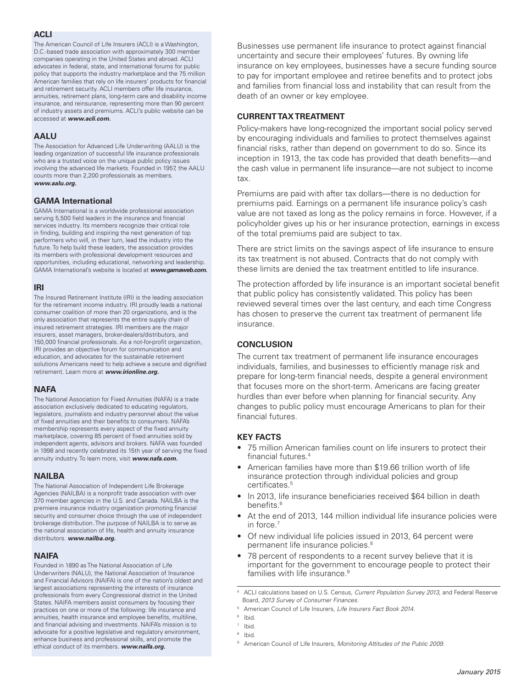#### **ACLI**

The American Council of Life Insurers (ACLI) is a Washington, D.C.-based trade association with approximately 300 member companies operating in the United States and abroad. ACLI advocates in federal, state, and international forums for public policy that supports the industry marketplace and the 75 million American families that rely on life insurers' products for financial and retirement security. ACLI members offer life insurance, annuities, retirement plans, long-term care and disability income insurance, and reinsurance, representing more than 90 percent of industry assets and premiums. ACLI's public website can be accessed at *www.acli.com.*

## **AALU**

The Association for Advanced Life Underwriting (AALU) is the leading organization of successful life insurance professionals who are a trusted voice on the unique public policy issues involving the advanced life markets. Founded in 1957, the AALU counts more than 2,200 professionals as members. *www.aalu.org.*

## **GAMA International**

GAMA International is a worldwide professional association serving 5,500 field leaders in the insurance and financial services industry. Its members recognize their critical role in finding, building and inspiring the next generation of top performers who will, in their turn, lead the industry into the future. To help build these leaders, the association provides its members with professional development resources and opportunities, including educational, networking and leadership. GAMA International's website is located at *www.gamaweb.com.*

## **IRI**

The Insured Retirement Institute (IRI) is the leading association for the retirement income industry. IRI proudly leads a national consumer coalition of more than 20 organizations, and is the only association that represents the entire supply chain of insured retirement strategies. IRI members are the major insurers, asset managers, broker-dealers/distributors, and 150,000 financial professionals. As a not-for-profit organization, IRI provides an objective forum for communication and education, and advocates for the sustainable retirement solutions Americans need to help achieve a secure and dignified retirement. Learn more at *www.irionline.org.*

## **NAFA**

The National Association for Fixed Annuities (NAFA) is a trade association exclusively dedicated to educating regulators, legislators, journalists and industry personnel about the value of fixed annuities and their benefits to consumers. NAFA's membership represents every aspect of the fixed annuity marketplace, covering 85 percent of fixed annuities sold by independent agents, advisors and brokers. NAFA was founded in 1998 and recently celebrated its 15th year of serving the fixed annuity industry. To learn more, visit *www.nafa.com.*

## **NAILBA**

The National Association of Independent Life Brokerage Agencies (NAILBA) is a nonprofit trade association with over 370 member agencies in the U.S. and Canada. NAILBA is the premiere insurance industry organization promoting financial security and consumer choice through the use of independent brokerage distribution. The purpose of NAILBA is to serve as the national association of life, health and annuity insurance distributors. *www.nailba.org.*

## **NAIFA**

Founded in 1890 as The National Association of Life Underwriters (NALU), the National Association of Insurance and Financial Advisors (NAIFA) is one of the nation's oldest and largest associations representing the interests of insurance professionals from every Congressional district in the United States. NAIFA members assist consumers by focusing their practices on one or more of the following: life insurance and annuities, health insurance and employee benefits, multiline, and financial advising and investments. NAIFA's mission is to advocate for a positive legislative and regulatory environment, enhance business and professional skills, and promote the ethical conduct of its members. *www.naifa.org.*

Businesses use permanent life insurance to protect against financial uncertainty and secure their employees' futures. By owning life insurance on key employees, businesses have a secure funding source to pay for important employee and retiree benefits and to protect jobs and families from financial loss and instability that can result from the death of an owner or key employee.

## **CURRENT TAX TREATMENT**

Policy-makers have long-recognized the important social policy served by encouraging individuals and families to protect themselves against financial risks, rather than depend on government to do so. Since its inception in 1913, the tax code has provided that death benefits—and the cash value in permanent life insurance—are not subject to income tax.

Premiums are paid with after tax dollars—there is no deduction for premiums paid. Earnings on a permanent life insurance policy's cash value are not taxed as long as the policy remains in force. However, if a policyholder gives up his or her insurance protection, earnings in excess of the total premiums paid are subject to tax.

There are strict limits on the savings aspect of life insurance to ensure its tax treatment is not abused. Contracts that do not comply with these limits are denied the tax treatment entitled to life insurance.

The protection afforded by life insurance is an important societal benefit that public policy has consistently validated. This policy has been reviewed several times over the last century, and each time Congress has chosen to preserve the current tax treatment of permanent life insurance.

## **CONCLUSION**

The current tax treatment of permanent life insurance encourages individuals, families, and businesses to efficiently manage risk and prepare for long-term financial needs, despite a general environment that focuses more on the short-term. Americans are facing greater hurdles than ever before when planning for financial security. Any changes to public policy must encourage Americans to plan for their financial futures.

## **key facts**

- 75 million American families count on life insurers to protect their financial futures.4
- American families have more than \$19.66 trillion worth of life insurance protection through individual policies and group certificates.<sup>5</sup>
- In 2013, life insurance beneficiaries received \$64 billion in death benefits.<sup>6</sup>
- At the end of 2013, 144 million individual life insurance policies were in force.<sup>7</sup>
- Of new individual life policies issued in 2013, 64 percent were permanent life insurance policies.8
- 78 percent of respondents to a recent survey believe that it is important for the government to encourage people to protect their families with life insurance.<sup>9</sup>

4 ACLI calculations based on U.S. Census, *Current Population Survey 2013*, and Federal Reserve Board, *2013 Survey of Consumer Finances*.

<sup>7</sup> Ibid.

<sup>5</sup> American Council of Life Insurers, *Life Insurers Fact Book 2014*.

<sup>6</sup> Ibid.

<sup>8</sup> Ibid.

<sup>9</sup> American Council of Life Insurers, *Monitoring Attitudes of the Public 2009*.